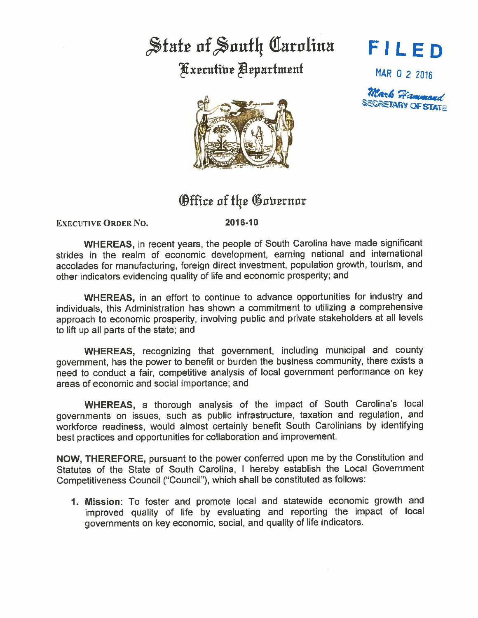## State of South Carolina Fxecutive Bepartment

**FI LED** 

MAR O 2 2016





## **Office of the Governor**

**EXECUTIVE ORDER No.** 

**2016-10** 

**WHEREAS,** in recent years, the people of South Carolina have made significant strides in the realm of economic development, earning national and international accolades for manufacturing, foreign direct investment, population growth, tourism, and other indicators evidencing quality of life and economic prosperity; and

**WHEREAS,** in an effort to continue to advance opportunities for industry and individuals, this Administration has shown a commitment to utilizing a comprehensive approach to economic prosperity, involving public and private stakeholders at all levels to lift up all parts of the state; and

**WHEREAS,** recognizing that government, including municipal and county government, has the power to benefit or burden the business community, there exists a need to conduct a fair, competitive analysis of local government performance on key areas of economic and social importance; and

**WHEREAS,** a thorough analysis of the impact of South Carolina's local governments on issues, such as public infrastructure, taxation and regulation, and workforce readiness, would almost certainly benefit South Carolinians by identifying best practices and opportunities for collaboration and improvement.

**NOW,** THEREFORE, pursuant to the power conferred upon me by the Constitution and Statutes of the State of South Carolina, I hereby establish the Local Government Competitiveness Council ("Council"), which shall be constituted as follows:

**1. Mission:** To foster and promote local and statewide economic growth and improved quality of life by evaluating and reporting the impact of local governments on key economic, social, and quality of life indicators.